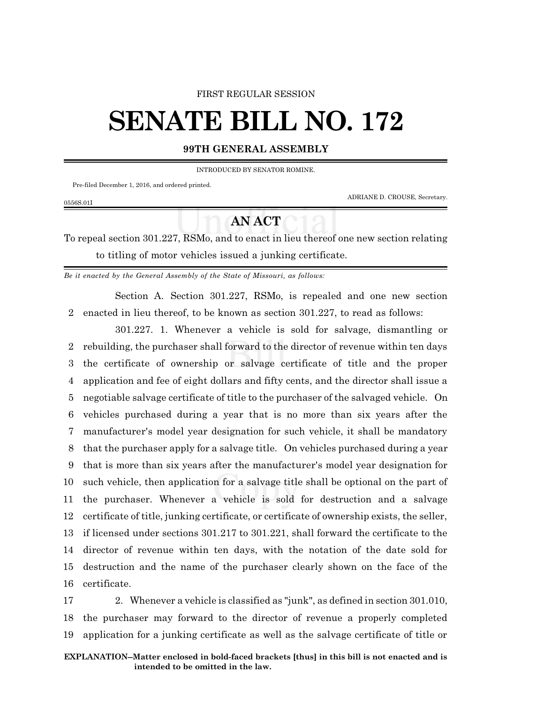## FIRST REGULAR SESSION

## **SENATE BILL NO. 172**

## **99TH GENERAL ASSEMBLY**

INTRODUCED BY SENATOR ROMINE.

Pre-filed December 1, 2016, and ordered printed.

0556S.01I

ADRIANE D. CROUSE, Secretary.

## **AN ACT**

To repeal section 301.227, RSMo, and to enact in lieu thereof one new section relating to titling of motor vehicles issued a junking certificate.

*Be it enacted by the General Assembly of the State of Missouri, as follows:*

Section A. Section 301.227, RSMo, is repealed and one new section 2 enacted in lieu thereof, to be known as section 301.227, to read as follows:

301.227. 1. Whenever a vehicle is sold for salvage, dismantling or rebuilding, the purchaser shall forward to the director of revenue within ten days the certificate of ownership or salvage certificate of title and the proper application and fee of eight dollars and fifty cents, and the director shall issue a negotiable salvage certificate of title to the purchaser of the salvaged vehicle. On vehicles purchased during a year that is no more than six years after the manufacturer's model year designation for such vehicle, it shall be mandatory that the purchaser apply for a salvage title. On vehicles purchased during a year that is more than six years after the manufacturer's model year designation for such vehicle, then application for a salvage title shall be optional on the part of the purchaser. Whenever a vehicle is sold for destruction and a salvage certificate of title, junking certificate, or certificate of ownership exists, the seller, if licensed under sections 301.217 to 301.221, shall forward the certificate to the director of revenue within ten days, with the notation of the date sold for destruction and the name of the purchaser clearly shown on the face of the certificate.

17 2. Whenever a vehicle is classified as "junk", as defined in section 301.010, 18 the purchaser may forward to the director of revenue a properly completed 19 application for a junking certificate as well as the salvage certificate of title or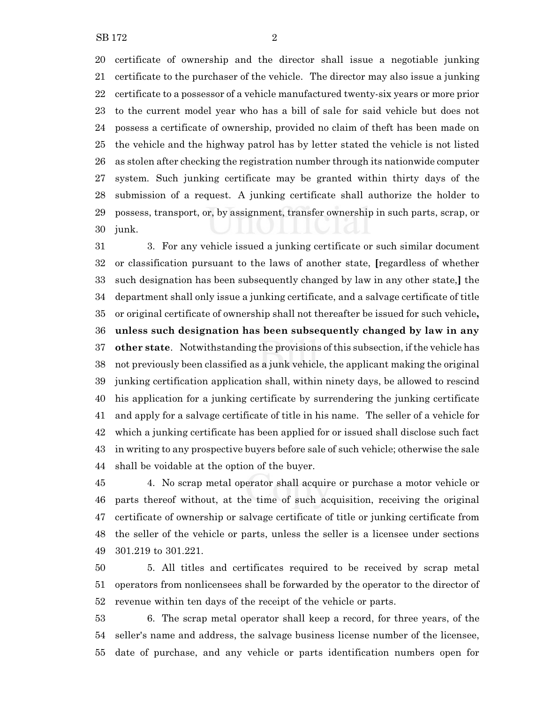certificate of ownership and the director shall issue a negotiable junking certificate to the purchaser of the vehicle. The director may also issue a junking certificate to a possessor of a vehicle manufactured twenty-six years or more prior to the current model year who has a bill of sale for said vehicle but does not possess a certificate of ownership, provided no claim of theft has been made on the vehicle and the highway patrol has by letter stated the vehicle is not listed as stolen after checking the registration number through its nationwide computer system. Such junking certificate may be granted within thirty days of the submission of a request. A junking certificate shall authorize the holder to possess, transport, or, by assignment, transfer ownership in such parts, scrap, or junk.

 3. For any vehicle issued a junking certificate or such similar document or classification pursuant to the laws of another state, **[**regardless of whether such designation has been subsequently changed by law in any other state,**]** the department shall only issue a junking certificate, and a salvage certificate of title or original certificate of ownership shall not thereafter be issued for such vehicle**, unless such designation has been subsequently changed by law in any other state**. Notwithstanding the provisions ofthis subsection, ifthe vehicle has not previously been classified as a junk vehicle, the applicant making the original junking certification application shall, within ninety days, be allowed to rescind his application for a junking certificate by surrendering the junking certificate and apply for a salvage certificate of title in his name. The seller of a vehicle for which a junking certificate has been applied for or issued shall disclose such fact in writing to any prospective buyers before sale of such vehicle; otherwise the sale shall be voidable at the option of the buyer.

 4. No scrap metal operator shall acquire or purchase a motor vehicle or parts thereof without, at the time of such acquisition, receiving the original certificate of ownership or salvage certificate of title or junking certificate from the seller of the vehicle or parts, unless the seller is a licensee under sections 301.219 to 301.221.

 5. All titles and certificates required to be received by scrap metal operators from nonlicensees shall be forwarded by the operator to the director of revenue within ten days of the receipt of the vehicle or parts.

 6. The scrap metal operator shall keep a record, for three years, of the seller's name and address, the salvage business license number of the licensee, date of purchase, and any vehicle or parts identification numbers open for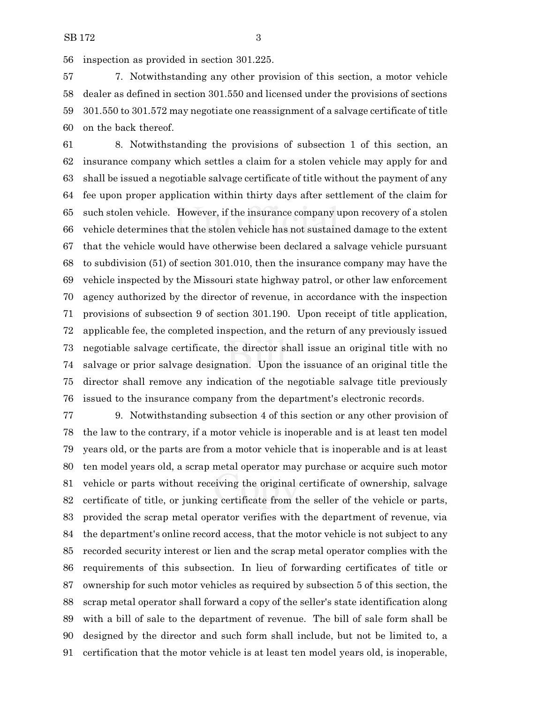inspection as provided in section 301.225.

 7. Notwithstanding any other provision of this section, a motor vehicle dealer as defined in section 301.550 and licensed under the provisions of sections 301.550 to 301.572 may negotiate one reassignment of a salvage certificate of title on the back thereof.

 8. Notwithstanding the provisions of subsection 1 of this section, an insurance company which settles a claim for a stolen vehicle may apply for and shall be issued a negotiable salvage certificate of title without the payment of any fee upon proper application within thirty days after settlement of the claim for such stolen vehicle. However, if the insurance company upon recovery of a stolen vehicle determines that the stolen vehicle has not sustained damage to the extent that the vehicle would have otherwise been declared a salvage vehicle pursuant to subdivision (51) of section 301.010, then the insurance company may have the vehicle inspected by the Missouri state highway patrol, or other law enforcement agency authorized by the director of revenue, in accordance with the inspection provisions of subsection 9 of section 301.190. Upon receipt of title application, applicable fee, the completed inspection, and the return of any previously issued negotiable salvage certificate, the director shall issue an original title with no salvage or prior salvage designation. Upon the issuance of an original title the director shall remove any indication of the negotiable salvage title previously issued to the insurance company from the department's electronic records.

 9. Notwithstanding subsection 4 of this section or any other provision of the law to the contrary, if a motor vehicle is inoperable and is at least ten model years old, or the parts are from a motor vehicle that is inoperable and is at least ten model years old, a scrap metal operator may purchase or acquire such motor vehicle or parts without receiving the original certificate of ownership, salvage certificate of title, or junking certificate from the seller of the vehicle or parts, provided the scrap metal operator verifies with the department of revenue, via the department's online record access, that the motor vehicle is not subject to any recorded security interest or lien and the scrap metal operator complies with the requirements of this subsection. In lieu of forwarding certificates of title or ownership for such motor vehicles as required by subsection 5 of this section, the scrap metal operator shall forward a copy of the seller's state identification along with a bill of sale to the department of revenue. The bill of sale form shall be designed by the director and such form shall include, but not be limited to, a certification that the motor vehicle is at least ten model years old, is inoperable,